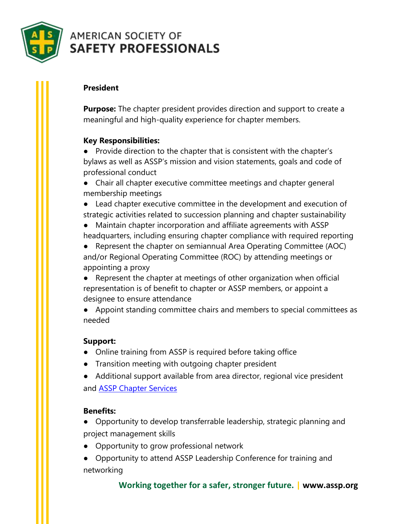

# **AMERICAN SOCIETY OF SAFETY PROFESSIONALS**

# **[President](http://www.asse.org/oc/leadership/president/)**

**Purpose:** The chapter president provides direction and support to create a meaningful and high-quality experience for chapter members.

## **Key Responsibilities:**

● Provide direction to the chapter that is consistent with the chapter's bylaws as well as ASSP's mission and vision statements, goals and code of professional conduct

● Chair all chapter executive committee meetings and chapter general membership meetings

● Lead chapter executive committee in the development and execution of strategic activities related to succession planning and chapter sustainability

● Maintain chapter incorporation and affiliate agreements with ASSP headquarters, including ensuring chapter compliance with required reporting

● Represent the chapter on semiannual Area Operating Committee (AOC) and/or Regional Operating Committee (ROC) by attending meetings or appointing a proxy

● Represent the chapter at meetings of other organization when official representation is of benefit to chapter or ASSP members, or appoint a designee to ensure attendance

● Appoint standing committee chairs and members to special committees as needed

### **Support:**

- Online training from ASSP is required before taking office
- Transition meeting with outgoing chapter president

● Additional support available from area director, regional vice president and [ASSP Chapter Services](mailto:chapterservices@assp.org)

### **Benefits:**

● Opportunity to develop transferrable leadership, strategic planning and project management skills

● Opportunity to grow professional network

● Opportunity to attend ASSP Leadership Conference for training and networking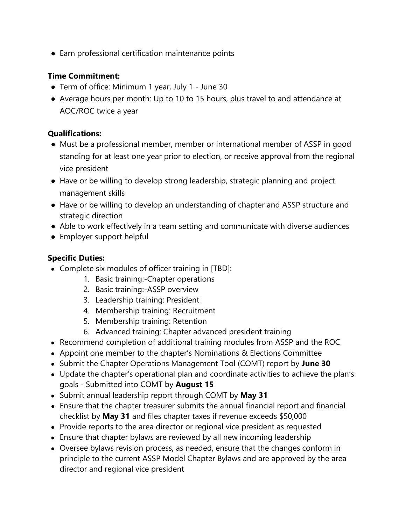● Earn professional certification maintenance points

### **Time Commitment:**

- Term of office: Minimum 1 year, July 1 June 30
- Average hours per month: Up to 10 to 15 hours, plus travel to and attendance at AOC/ROC twice a year

#### **Qualifications:**

- Must be a professional member, member or international member of ASSP in good standing for at least one year prior to election, or receive approval from the regional vice president
- Have or be willing to develop strong leadership, strategic planning and project management skills
- Have or be willing to develop an understanding of chapter and ASSP structure and strategic direction
- Able to work effectively in a team setting and communicate with diverse audiences
- Employer support helpful

#### **Specific Duties:**

- Complete six modules of officer training in [TBD]:
	- 1. Basic training:-Chapter operations
	- 2. Basic training:-ASSP overview
	- 3. Leadership training: President
	- 4. Membership training: Recruitment
	- 5. Membership training: Retention
	- 6. Advanced training: Chapter advanced president training
- Recommend completion of additional training modules from ASSP and the ROC
- Appoint one member to the chapter's Nominations & Elections Committee
- Submit the Chapter Operations Management Tool (COMT) report by **June 30**
- Update the chapter's operational plan and coordinate activities to achieve the plan's goals - Submitted into COMT by **August 15**
- Submit annual leadership report through COMT by **May 31**
- Ensure that the chapter treasurer submits the annual financial report and financial checklist by **May 31** and files chapter taxes if revenue exceeds \$50,000
- Provide reports to the area director or regional vice president as requested
- Ensure that chapter bylaws are reviewed by all new incoming leadership
- Oversee bylaws revision process, as needed, ensure that the changes conform in principle to the current ASSP Model Chapter Bylaws and are approved by the area director and regional vice president